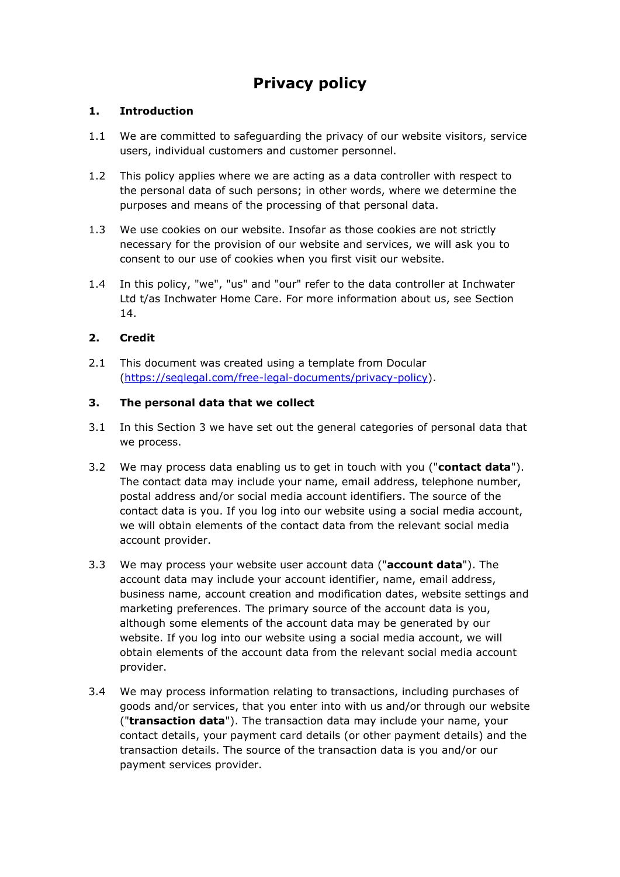# **Privacy policy**

## **1. Introduction**

- 1.1 We are committed to safeguarding the privacy of our website visitors, service users, individual customers and customer personnel.
- 1.2 This policy applies where we are acting as a data controller with respect to the personal data of such persons; in other words, where we determine the purposes and means of the processing of that personal data.
- 1.3 We use cookies on our website. Insofar as those cookies are not strictly necessary for the provision of our website and services, we will ask you to consent to our use of cookies when you first visit our website.
- 1.4 In this policy, "we", "us" and "our" refer to the data controller at Inchwater Ltd t/as Inchwater Home Care. For more information about us, see Section 14.

# **2. Credit**

2.1 This document was created using a template from Docular [\(https://seqlegal.com/free-legal-documents/privacy-policy\)](https://seqlegal.com/free-legal-documents/privacy-policy).

### **3. The personal data that we collect**

- 3.1 In this Section 3 we have set out the general categories of personal data that we process.
- 3.2 We may process data enabling us to get in touch with you ("**contact data**"). The contact data may include your name, email address, telephone number, postal address and/or social media account identifiers. The source of the contact data is you. If you log into our website using a social media account, we will obtain elements of the contact data from the relevant social media account provider.
- 3.3 We may process your website user account data ("**account data**"). The account data may include your account identifier, name, email address, business name, account creation and modification dates, website settings and marketing preferences. The primary source of the account data is you, although some elements of the account data may be generated by our website. If you log into our website using a social media account, we will obtain elements of the account data from the relevant social media account provider.
- 3.4 We may process information relating to transactions, including purchases of goods and/or services, that you enter into with us and/or through our website ("**transaction data**"). The transaction data may include your name, your contact details, your payment card details (or other payment details) and the transaction details. The source of the transaction data is you and/or our payment services provider.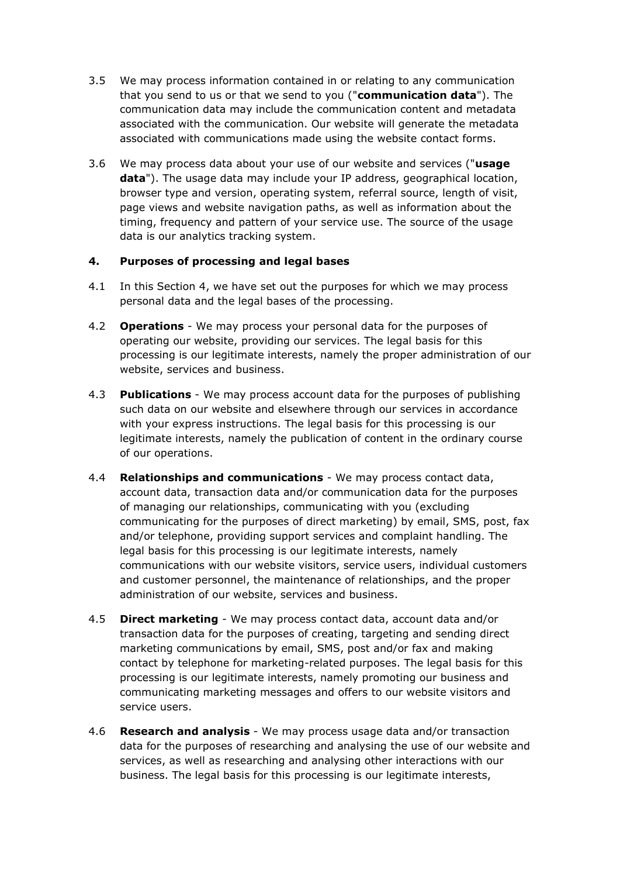- 3.5 We may process information contained in or relating to any communication that you send to us or that we send to you ("**communication data**"). The communication data may include the communication content and metadata associated with the communication. Our website will generate the metadata associated with communications made using the website contact forms.
- 3.6 We may process data about your use of our website and services ("**usage data**"). The usage data may include your IP address, geographical location, browser type and version, operating system, referral source, length of visit, page views and website navigation paths, as well as information about the timing, frequency and pattern of your service use. The source of the usage data is our analytics tracking system.

#### **4. Purposes of processing and legal bases**

- 4.1 In this Section 4, we have set out the purposes for which we may process personal data and the legal bases of the processing.
- 4.2 **Operations**  We may process your personal data for the purposes of operating our website, providing our services. The legal basis for this processing is our legitimate interests, namely the proper administration of our website, services and business.
- 4.3 **Publications**  We may process account data for the purposes of publishing such data on our website and elsewhere through our services in accordance with your express instructions. The legal basis for this processing is our legitimate interests, namely the publication of content in the ordinary course of our operations.
- 4.4 **Relationships and communications** We may process contact data, account data, transaction data and/or communication data for the purposes of managing our relationships, communicating with you (excluding communicating for the purposes of direct marketing) by email, SMS, post, fax and/or telephone, providing support services and complaint handling. The legal basis for this processing is our legitimate interests, namely communications with our website visitors, service users, individual customers and customer personnel, the maintenance of relationships, and the proper administration of our website, services and business.
- 4.5 **Direct marketing**  We may process contact data, account data and/or transaction data for the purposes of creating, targeting and sending direct marketing communications by email, SMS, post and/or fax and making contact by telephone for marketing-related purposes. The legal basis for this processing is our legitimate interests, namely promoting our business and communicating marketing messages and offers to our website visitors and service users.
- 4.6 **Research and analysis**  We may process usage data and/or transaction data for the purposes of researching and analysing the use of our website and services, as well as researching and analysing other interactions with our business. The legal basis for this processing is our legitimate interests,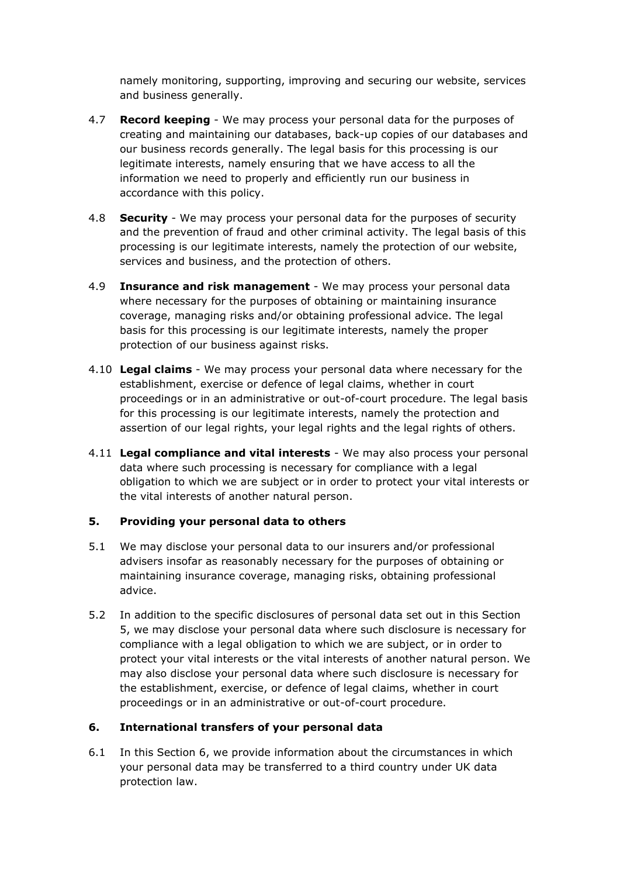namely monitoring, supporting, improving and securing our website, services and business generally.

- 4.7 **Record keeping**  We may process your personal data for the purposes of creating and maintaining our databases, back-up copies of our databases and our business records generally. The legal basis for this processing is our legitimate interests, namely ensuring that we have access to all the information we need to properly and efficiently run our business in accordance with this policy.
- 4.8 **Security**  We may process your personal data for the purposes of security and the prevention of fraud and other criminal activity. The legal basis of this processing is our legitimate interests, namely the protection of our website, services and business, and the protection of others.
- 4.9 **Insurance and risk management** We may process your personal data where necessary for the purposes of obtaining or maintaining insurance coverage, managing risks and/or obtaining professional advice. The legal basis for this processing is our legitimate interests, namely the proper protection of our business against risks.
- 4.10 **Legal claims** We may process your personal data where necessary for the establishment, exercise or defence of legal claims, whether in court proceedings or in an administrative or out-of-court procedure. The legal basis for this processing is our legitimate interests, namely the protection and assertion of our legal rights, your legal rights and the legal rights of others.
- 4.11 **Legal compliance and vital interests** We may also process your personal data where such processing is necessary for compliance with a legal obligation to which we are subject or in order to protect your vital interests or the vital interests of another natural person.

### **5. Providing your personal data to others**

- 5.1 We may disclose your personal data to our insurers and/or professional advisers insofar as reasonably necessary for the purposes of obtaining or maintaining insurance coverage, managing risks, obtaining professional advice.
- 5.2 In addition to the specific disclosures of personal data set out in this Section 5, we may disclose your personal data where such disclosure is necessary for compliance with a legal obligation to which we are subject, or in order to protect your vital interests or the vital interests of another natural person. We may also disclose your personal data where such disclosure is necessary for the establishment, exercise, or defence of legal claims, whether in court proceedings or in an administrative or out-of-court procedure.

# **6. International transfers of your personal data**

6.1 In this Section 6, we provide information about the circumstances in which your personal data may be transferred to a third country under UK data protection law.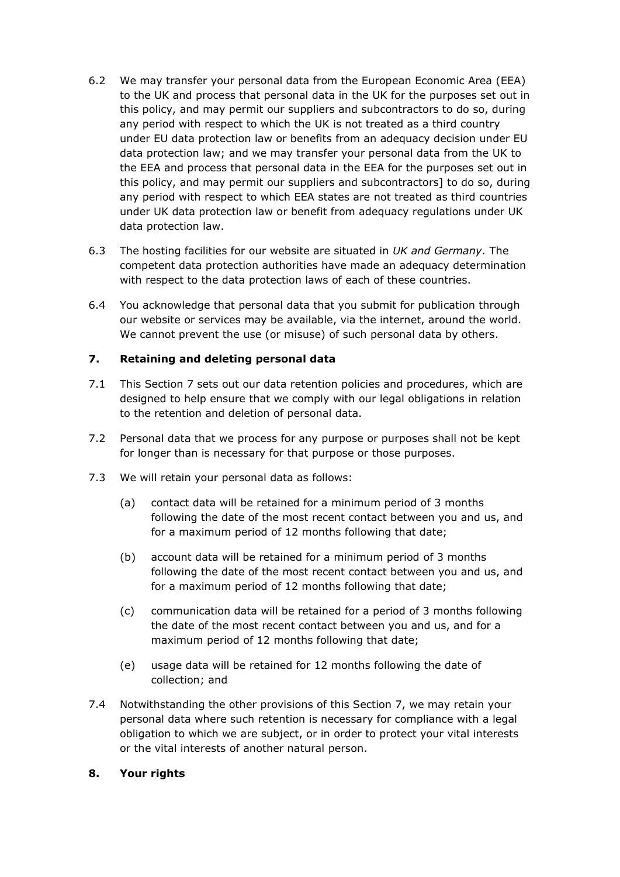- 6.2 We may transfer your personal data from the European Economic Area (EEA) to the UK and process that personal data in the UK for the purposes set out in this policy, and may permit our suppliers and subcontractors to do so, during any period with respect to which the UK is not treated as a third country under EU data protection law or benefits from an adequacy decision under EU data protection law; and we may transfer your personal data from the UK to the EEA and process that personal data in the EEA for the purposes set out in this policy, and may permit our suppliers and subcontractors] to do so, during any period with respect to which EEA states are not treated as third countries under UK data protection law or benefit from adequacy regulations under UK data protection law.
- 6.3 The hosting facilities for our website are situated in *UK and Germany*. The competent data protection authorities have made an adequacy determination with respect to the data protection laws of each of these countries.
- 6.4 You acknowledge that personal data that you submit for publication through our website or services may be available, via the internet, around the world. We cannot prevent the use (or misuse) of such personal data by others.

### **7. Retaining and deleting personal data**

- 7.1 This Section 7 sets out our data retention policies and procedures, which are designed to help ensure that we comply with our legal obligations in relation to the retention and deletion of personal data.
- 7.2 Personal data that we process for any purpose or purposes shall not be kept for longer than is necessary for that purpose or those purposes.
- 7.3 We will retain your personal data as follows:
	- (a) contact data will be retained for a minimum period of 3 months following the date of the most recent contact between you and us, and for a maximum period of 12 months following that date;
	- (b) account data will be retained for a minimum period of 3 months following the date of the most recent contact between you and us, and for a maximum period of 12 months following that date;
	- (c) communication data will be retained for a period of 3 months following the date of the most recent contact between you and us, and for a maximum period of 12 months following that date;
	- (e) usage data will be retained for 12 months following the date of collection; and
- 7.4 Notwithstanding the other provisions of this Section 7, we may retain your personal data where such retention is necessary for compliance with a legal obligation to which we are subject, or in order to protect your vital interests or the vital interests of another natural person.

### **8. Your rights**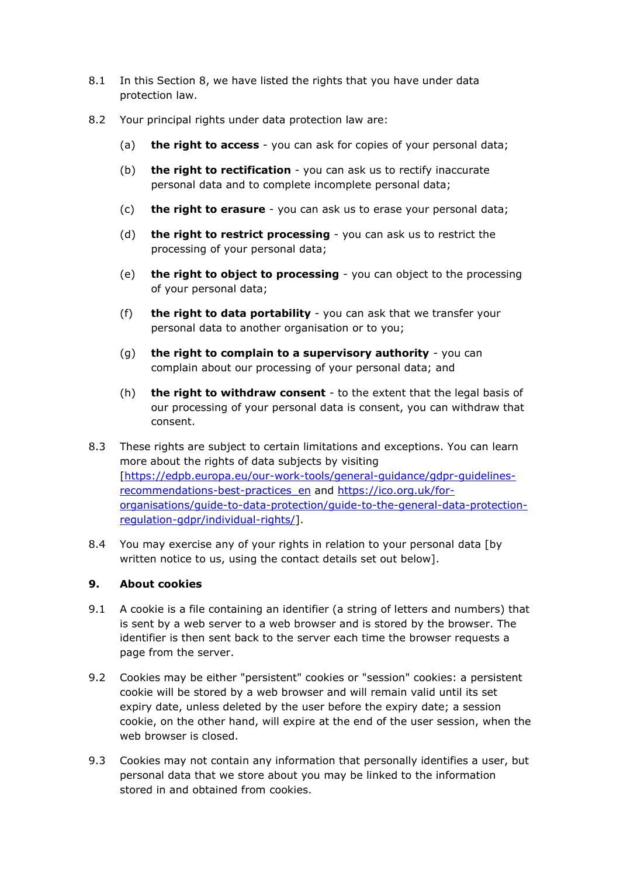- 8.1 In this Section 8, we have listed the rights that you have under data protection law.
- 8.2 Your principal rights under data protection law are:
	- (a) **the right to access** you can ask for copies of your personal data;
	- (b) **the right to rectification** you can ask us to rectify inaccurate personal data and to complete incomplete personal data;
	- (c) **the right to erasure** you can ask us to erase your personal data;
	- (d) **the right to restrict processing** you can ask us to restrict the processing of your personal data;
	- (e) **the right to object to processing** you can object to the processing of your personal data;
	- (f) **the right to data portability** you can ask that we transfer your personal data to another organisation or to you;
	- (g) **the right to complain to a supervisory authority** you can complain about our processing of your personal data; and
	- (h) **the right to withdraw consent** to the extent that the legal basis of our processing of your personal data is consent, you can withdraw that consent.
- 8.3 These rights are subject to certain limitations and exceptions. You can learn more about the rights of data subjects by visiting [\[https://edpb.europa.eu/our-work-tools/general-guidance/gdpr-guidelines](https://edpb.europa.eu/our-work-tools/general-guidance/gdpr-guidelines-recommendations-best-practices_en)[recommendations-best-practices\\_en](https://edpb.europa.eu/our-work-tools/general-guidance/gdpr-guidelines-recommendations-best-practices_en) and [https://ico.org.uk/for](https://ico.org.uk/for-organisations/guide-to-data-protection/guide-to-the-general-data-protection-regulation-gdpr/individual-rights/)[organisations/guide-to-data-protection/guide-to-the-general-data-protection](https://ico.org.uk/for-organisations/guide-to-data-protection/guide-to-the-general-data-protection-regulation-gdpr/individual-rights/)[regulation-gdpr/individual-rights/\]](https://ico.org.uk/for-organisations/guide-to-data-protection/guide-to-the-general-data-protection-regulation-gdpr/individual-rights/).
- 8.4 You may exercise any of your rights in relation to your personal data [by written notice to us, using the contact details set out below].

### **9. About cookies**

- 9.1 A cookie is a file containing an identifier (a string of letters and numbers) that is sent by a web server to a web browser and is stored by the browser. The identifier is then sent back to the server each time the browser requests a page from the server.
- 9.2 Cookies may be either "persistent" cookies or "session" cookies: a persistent cookie will be stored by a web browser and will remain valid until its set expiry date, unless deleted by the user before the expiry date; a session cookie, on the other hand, will expire at the end of the user session, when the web browser is closed.
- 9.3 Cookies may not contain any information that personally identifies a user, but personal data that we store about you may be linked to the information stored in and obtained from cookies.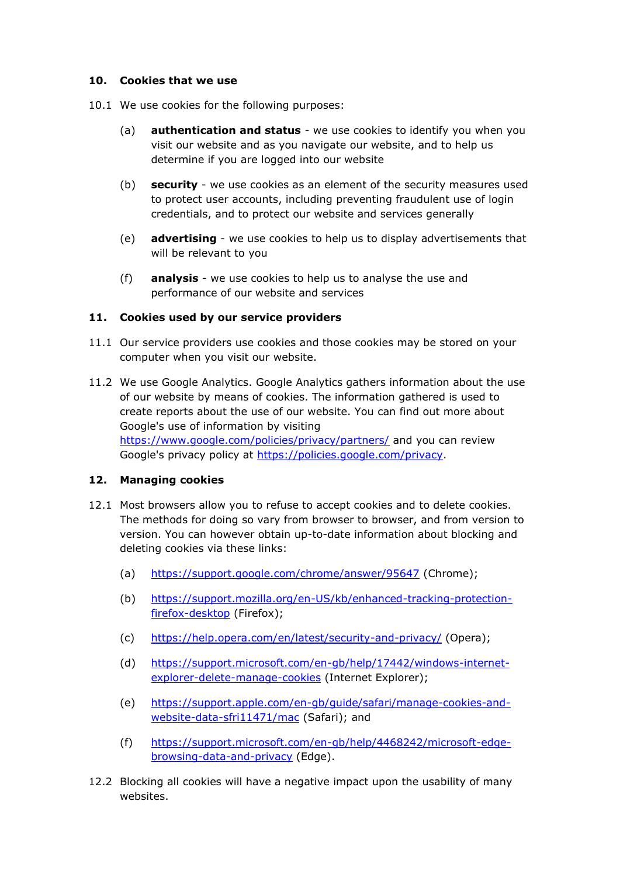#### **10. Cookies that we use**

- 10.1 We use cookies for the following purposes:
	- (a) **authentication and status** we use cookies to identify you when you visit our website and as you navigate our website, and to help us determine if you are logged into our website
	- (b) **security** we use cookies as an element of the security measures used to protect user accounts, including preventing fraudulent use of login credentials, and to protect our website and services generally
	- (e) **advertising** we use cookies to help us to display advertisements that will be relevant to you
	- (f) **analysis** we use cookies to help us to analyse the use and performance of our website and services

### **11. Cookies used by our service providers**

- 11.1 Our service providers use cookies and those cookies may be stored on your computer when you visit our website.
- 11.2 We use Google Analytics. Google Analytics gathers information about the use of our website by means of cookies. The information gathered is used to create reports about the use of our website. You can find out more about Google's use of information by visiting <https://www.google.com/policies/privacy/partners/> and you can review Google's privacy policy at [https://policies.google.com/privacy.](https://policies.google.com/privacy)

### **12. Managing cookies**

- 12.1 Most browsers allow you to refuse to accept cookies and to delete cookies. The methods for doing so vary from browser to browser, and from version to version. You can however obtain up-to-date information about blocking and deleting cookies via these links:
	- (a) <https://support.google.com/chrome/answer/95647> (Chrome);
	- (b) [https://support.mozilla.org/en-US/kb/enhanced-tracking-protection](https://support.mozilla.org/en-US/kb/enhanced-tracking-protection-firefox-desktop)[firefox-desktop](https://support.mozilla.org/en-US/kb/enhanced-tracking-protection-firefox-desktop) (Firefox);
	- (c) <https://help.opera.com/en/latest/security-and-privacy/> (Opera);
	- (d) [https://support.microsoft.com/en-gb/help/17442/windows-internet](https://support.microsoft.com/en-gb/help/17442/windows-internet-explorer-delete-manage-cookies)[explorer-delete-manage-cookies](https://support.microsoft.com/en-gb/help/17442/windows-internet-explorer-delete-manage-cookies) (Internet Explorer);
	- (e) [https://support.apple.com/en-gb/guide/safari/manage-cookies-and](https://support.apple.com/en-gb/guide/safari/manage-cookies-and-website-data-sfri11471/mac)[website-data-sfri11471/mac](https://support.apple.com/en-gb/guide/safari/manage-cookies-and-website-data-sfri11471/mac) (Safari); and
	- (f) [https://support.microsoft.com/en-gb/help/4468242/microsoft-edge](https://support.microsoft.com/en-gb/help/4468242/microsoft-edge-browsing-data-and-privacy)[browsing-data-and-privacy](https://support.microsoft.com/en-gb/help/4468242/microsoft-edge-browsing-data-and-privacy) (Edge).
- 12.2 Blocking all cookies will have a negative impact upon the usability of many websites.